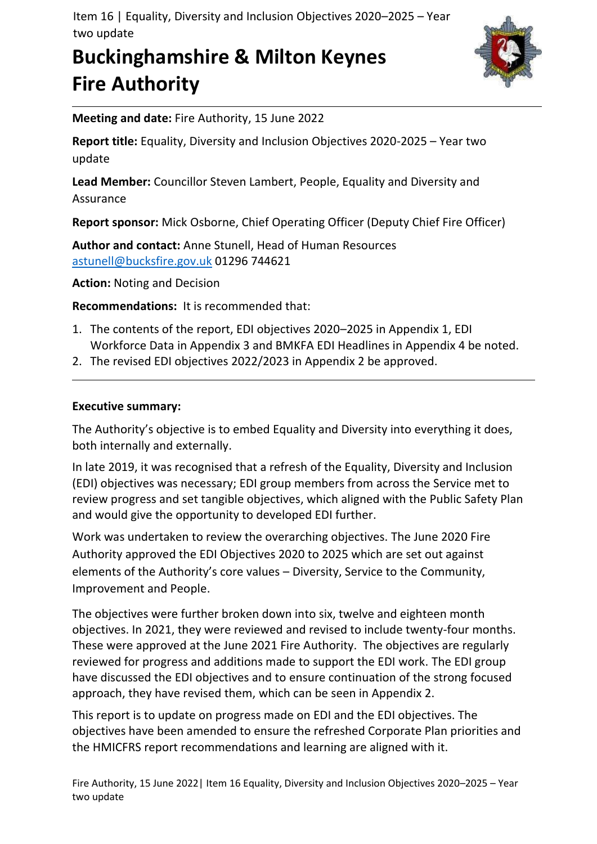Item 16 | Equality, Diversity and Inclusion Objectives 2020–2025 – Year two update

# **Buckinghamshire & Milton Keynes Fire Authority**



**Meeting and date:** Fire Authority, 15 June 2022

**Report title:** Equality, Diversity and Inclusion Objectives 2020-2025 – Year two update

**Lead Member:** Councillor Steven Lambert, People, Equality and Diversity and Assurance

**Report sponsor:** Mick Osborne, Chief Operating Officer (Deputy Chief Fire Officer)

**Author and contact:** Anne Stunell, Head of Human Resources [astunell@bucksfire.gov.uk](mailto:astunell@bucksfire.gov.uk) 01296 744621

**Action:** Noting and Decision

**Recommendations:** It is recommended that:

- 1. The contents of the report, EDI objectives 2020–2025 in Appendix 1, EDI Workforce Data in Appendix 3 and BMKFA EDI Headlines in Appendix 4 be noted.
- 2. The revised EDI objectives 2022/2023 in Appendix 2 be approved.

#### **Executive summary:**

The Authority's objective is to embed Equality and Diversity into everything it does, both internally and externally.

In late 2019, it was recognised that a refresh of the Equality, Diversity and Inclusion (EDI) objectives was necessary; EDI group members from across the Service met to review progress and set tangible objectives, which aligned with the Public Safety Plan and would give the opportunity to developed EDI further.

Work was undertaken to review the overarching objectives. The June 2020 Fire Authority approved the EDI Objectives 2020 to 2025 which are set out against elements of the Authority's core values – Diversity, Service to the Community, Improvement and People.

The objectives were further broken down into six, twelve and eighteen month objectives. In 2021, they were reviewed and revised to include twenty-four months. These were approved at the June 2021 Fire Authority. The objectives are regularly reviewed for progress and additions made to support the EDI work. The EDI group have discussed the EDI objectives and to ensure continuation of the strong focused approach, they have revised them, which can be seen in Appendix 2.

This report is to update on progress made on EDI and the EDI objectives. The objectives have been amended to ensure the refreshed Corporate Plan priorities and the HMICFRS report recommendations and learning are aligned with it.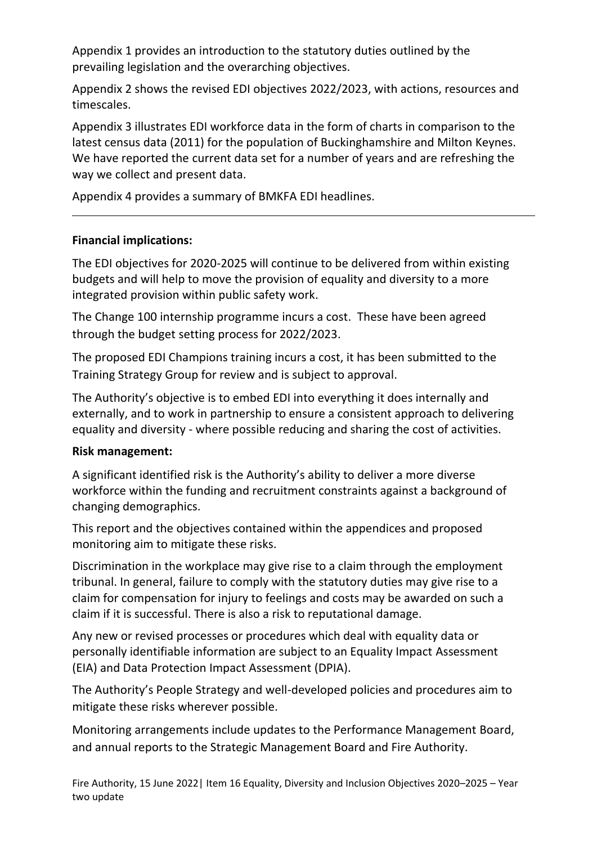Appendix 1 provides an introduction to the statutory duties outlined by the prevailing legislation and the overarching objectives.

Appendix 2 shows the revised EDI objectives 2022/2023, with actions, resources and timescales.

Appendix 3 illustrates EDI workforce data in the form of charts in comparison to the latest census data (2011) for the population of Buckinghamshire and Milton Keynes. We have reported the current data set for a number of years and are refreshing the way we collect and present data.

Appendix 4 provides a summary of BMKFA EDI headlines.

#### **Financial implications:**

The EDI objectives for 2020-2025 will continue to be delivered from within existing budgets and will help to move the provision of equality and diversity to a more integrated provision within public safety work.

The Change 100 internship programme incurs a cost. These have been agreed through the budget setting process for 2022/2023.

The proposed EDI Champions training incurs a cost, it has been submitted to the Training Strategy Group for review and is subject to approval.

The Authority's objective is to embed EDI into everything it does internally and externally, and to work in partnership to ensure a consistent approach to delivering equality and diversity - where possible reducing and sharing the cost of activities.

#### **Risk management:**

A significant identified risk is the Authority's ability to deliver a more diverse workforce within the funding and recruitment constraints against a background of changing demographics.

This report and the objectives contained within the appendices and proposed monitoring aim to mitigate these risks.

Discrimination in the workplace may give rise to a claim through the employment tribunal. In general, failure to comply with the statutory duties may give rise to a claim for compensation for injury to feelings and costs may be awarded on such a claim if it is successful. There is also a risk to reputational damage.

Any new or revised processes or procedures which deal with equality data or personally identifiable information are subject to an Equality Impact Assessment (EIA) and Data Protection Impact Assessment (DPIA).

The Authority's People Strategy and well-developed policies and procedures aim to mitigate these risks wherever possible.

Monitoring arrangements include updates to the Performance Management Board, and annual reports to the Strategic Management Board and Fire Authority.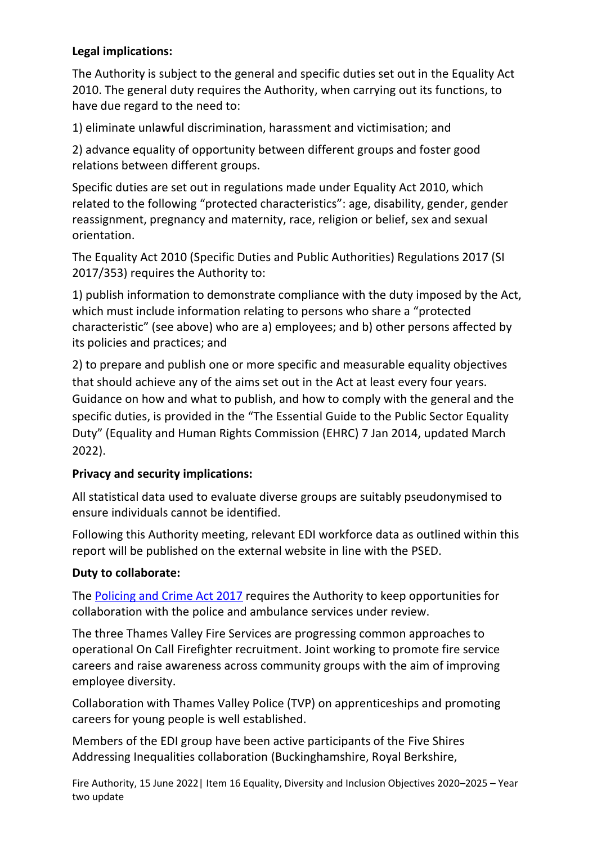### **Legal implications:**

The Authority is subject to the general and specific duties set out in the Equality Act 2010. The general duty requires the Authority, when carrying out its functions, to have due regard to the need to:

1) eliminate unlawful discrimination, harassment and victimisation; and

2) advance equality of opportunity between different groups and foster good relations between different groups.

Specific duties are set out in regulations made under Equality Act 2010, which related to the following "protected characteristics": age, disability, gender, gender reassignment, pregnancy and maternity, race, religion or belief, sex and sexual orientation.

The Equality Act 2010 (Specific Duties and Public Authorities) Regulations 2017 (SI 2017/353) requires the Authority to:

1) publish information to demonstrate compliance with the duty imposed by the Act, which must include information relating to persons who share a "protected characteristic" (see above) who are a) employees; and b) other persons affected by its policies and practices; and

2) to prepare and publish one or more specific and measurable equality objectives that should achieve any of the aims set out in the Act at least every four years. Guidance on how and what to publish, and how to comply with the general and the specific duties, is provided in the "The Essential Guide to the Public Sector Equality Duty" (Equality and Human Rights Commission (EHRC) 7 Jan 2014, updated March 2022).

#### **Privacy and security implications:**

All statistical data used to evaluate diverse groups are suitably pseudonymised to ensure individuals cannot be identified.

Following this Authority meeting, relevant EDI workforce data as outlined within this report will be published on the external website in line with the PSED.

#### **Duty to collaborate:**

The [Policing and Crime Act 2017](http://www.legislation.gov.uk/ukpga/2017/3/section/2/enacted) requires the Authority to keep opportunities for collaboration with the police and ambulance services under review.

The three Thames Valley Fire Services are progressing common approaches to operational On Call Firefighter recruitment. Joint working to promote fire service careers and raise awareness across community groups with the aim of improving employee diversity.

Collaboration with Thames Valley Police (TVP) on apprenticeships and promoting careers for young people is well established.

Members of the EDI group have been active participants of the Five Shires Addressing Inequalities collaboration (Buckinghamshire, Royal Berkshire,

Fire Authority, 15 June 2022| Item 16 Equality, Diversity and Inclusion Objectives 2020–2025 – Year two update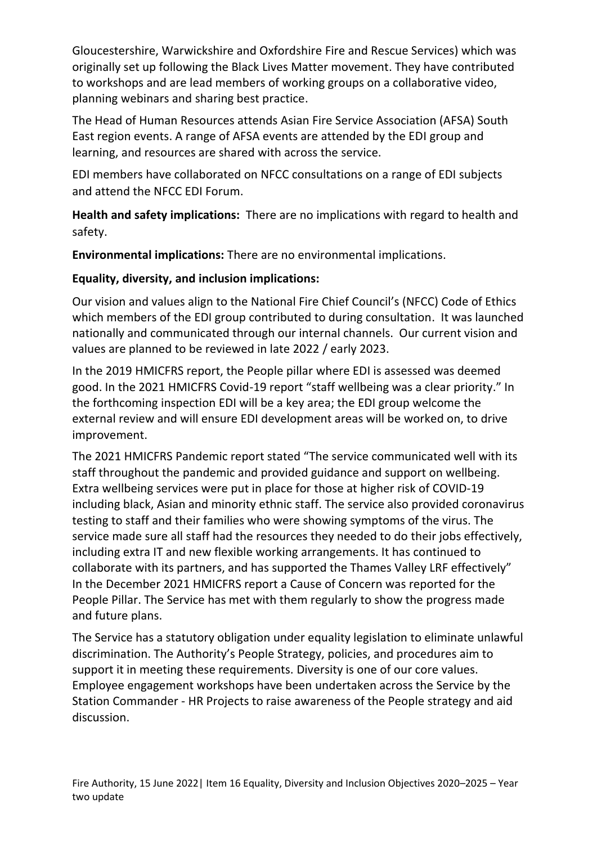Gloucestershire, Warwickshire and Oxfordshire Fire and Rescue Services) which was originally set up following the Black Lives Matter movement. They have contributed to workshops and are lead members of working groups on a collaborative video, planning webinars and sharing best practice.

The Head of Human Resources attends Asian Fire Service Association (AFSA) South East region events. A range of AFSA events are attended by the EDI group and learning, and resources are shared with across the service.

EDI members have collaborated on NFCC consultations on a range of EDI subjects and attend the NFCC EDI Forum.

**Health and safety implications:** There are no implications with regard to health and safety.

**Environmental implications:** There are no environmental implications.

## **Equality, diversity, and inclusion implications:**

Our vision and values align to the National Fire Chief Council's (NFCC) Code of Ethics which members of the EDI group contributed to during consultation. It was launched nationally and communicated through our internal channels. Our current vision and values are planned to be reviewed in late 2022 / early 2023.

In the 2019 HMICFRS report, the People pillar where EDI is assessed was deemed good. In the 2021 HMICFRS Covid-19 report "staff wellbeing was a clear priority." In the forthcoming inspection EDI will be a key area; the EDI group welcome the external review and will ensure EDI development areas will be worked on, to drive improvement.

The 2021 HMICFRS Pandemic report stated "The service communicated well with its staff throughout the pandemic and provided guidance and support on wellbeing. Extra wellbeing services were put in place for those at higher risk of COVID-19 including black, Asian and minority ethnic staff. The service also provided coronavirus testing to staff and their families who were showing symptoms of the virus. The service made sure all staff had the resources they needed to do their jobs effectively, including extra IT and new flexible working arrangements. It has continued to collaborate with its partners, and has supported the Thames Valley LRF effectively" In the December 2021 HMICFRS report a Cause of Concern was reported for the People Pillar. The Service has met with them regularly to show the progress made and future plans.

The Service has a statutory obligation under equality legislation to eliminate unlawful discrimination. The Authority's People Strategy, policies, and procedures aim to support it in meeting these requirements. Diversity is one of our core values. Employee engagement workshops have been undertaken across the Service by the Station Commander - HR Projects to raise awareness of the People strategy and aid discussion.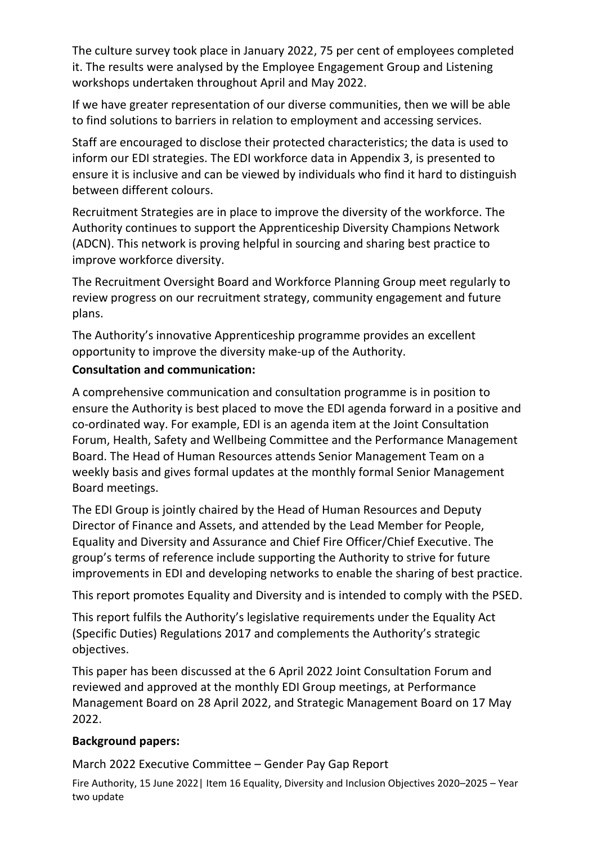The culture survey took place in January 2022, 75 per cent of employees completed it. The results were analysed by the Employee Engagement Group and Listening workshops undertaken throughout April and May 2022.

If we have greater representation of our diverse communities, then we will be able to find solutions to barriers in relation to employment and accessing services.

Staff are encouraged to disclose their protected characteristics; the data is used to inform our EDI strategies. The EDI workforce data in Appendix 3, is presented to ensure it is inclusive and can be viewed by individuals who find it hard to distinguish between different colours.

Recruitment Strategies are in place to improve the diversity of the workforce. The Authority continues to support the Apprenticeship Diversity Champions Network (ADCN). This network is proving helpful in sourcing and sharing best practice to improve workforce diversity.

The Recruitment Oversight Board and Workforce Planning Group meet regularly to review progress on our recruitment strategy, community engagement and future plans.

The Authority's innovative Apprenticeship programme provides an excellent opportunity to improve the diversity make-up of the Authority.

#### **Consultation and communication:**

A comprehensive communication and consultation programme is in position to ensure the Authority is best placed to move the EDI agenda forward in a positive and co-ordinated way. For example, EDI is an agenda item at the Joint Consultation Forum, Health, Safety and Wellbeing Committee and the Performance Management Board. The Head of Human Resources attends Senior Management Team on a weekly basis and gives formal updates at the monthly formal Senior Management Board meetings.

The EDI Group is jointly chaired by the Head of Human Resources and Deputy Director of Finance and Assets, and attended by the Lead Member for People, Equality and Diversity and Assurance and Chief Fire Officer/Chief Executive. The group's terms of reference include supporting the Authority to strive for future improvements in EDI and developing networks to enable the sharing of best practice.

This report promotes Equality and Diversity and is intended to comply with the PSED.

This report fulfils the Authority's legislative requirements under the Equality Act (Specific Duties) Regulations 2017 and complements the Authority's strategic objectives.

This paper has been discussed at the 6 April 2022 Joint Consultation Forum and reviewed and approved at the monthly EDI Group meetings, at Performance Management Board on 28 April 2022, and Strategic Management Board on 17 May 2022.

### **Background papers:**

March 2022 Executive Committee – Gender Pay Gap Report

Fire Authority, 15 June 2022| Item 16 Equality, Diversity and Inclusion Objectives 2020–2025 – Year two update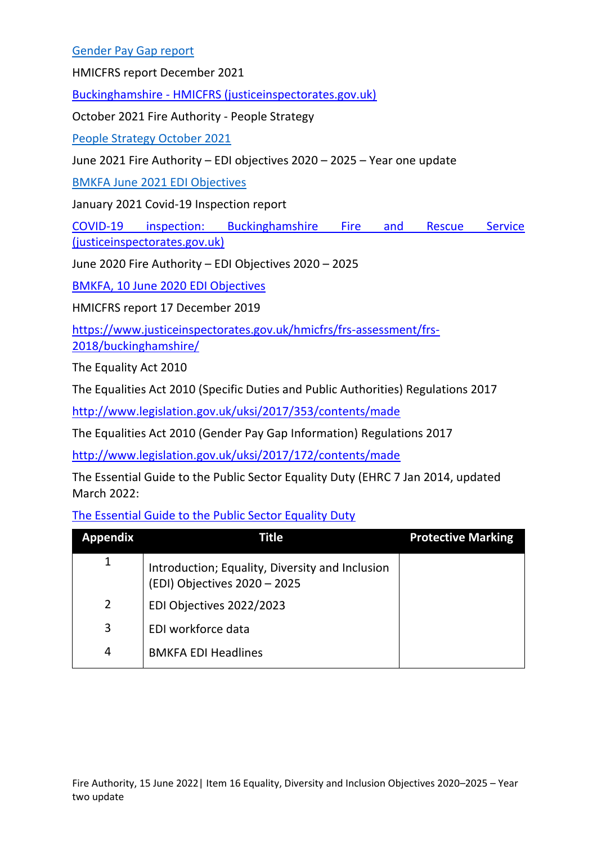#### [Gender Pay Gap report](https://bucksfire.gov.uk/documents/2022/03/ec-item-6-230322.pdf/)

HMICFRS report December 2021

Buckinghamshire - [HMICFRS \(justiceinspectorates.gov.uk\)](https://www.justiceinspectorates.gov.uk/hmicfrs/frs-assessment/frs-2021/buckinghamshire/?)

October 2021 Fire Authority - People Strategy

[People Strategy October 2021](https://bucksfire.gov.uk/documents/2021/10/fa-item-10-people-strategy-13102021.pdf/)

June 2021 Fire Authority – EDI objectives 2020 – 2025 – Year one update

[BMKFA June 2021 EDI Objectives](https://bucksfire.gov.uk/documents/2021/06/fa-160621-item-15.pdf/)

January 2021 Covid-19 Inspection report

[COVID-19 inspection: Buckinghamshire Fire and Rescue Service](https://www.justiceinspectorates.gov.uk/hmicfrs/wp-content/uploads/buckinghamshire-frs-covid-19-inspection.pdf)  [\(justiceinspectorates.gov.uk\)](https://www.justiceinspectorates.gov.uk/hmicfrs/wp-content/uploads/buckinghamshire-frs-covid-19-inspection.pdf)

June 2020 Fire Authority – EDI Objectives 2020 – 2025

[BMKFA, 10 June 2020 EDI Objectives](https://bucksfire.gov.uk/documents/2020/06/fire-authority.pdf/)

HMICFRS report 17 December 2019

[https://www.justiceinspectorates.gov.uk/hmicfrs/frs-assessment/frs-](https://www.justiceinspectorates.gov.uk/hmicfrs/frs-assessment/frs-2018/buckinghamshire/)[2018/buckinghamshire/](https://www.justiceinspectorates.gov.uk/hmicfrs/frs-assessment/frs-2018/buckinghamshire/)

The Equality Act 2010

The Equalities Act 2010 (Specific Duties and Public Authorities) Regulations 2017

<http://www.legislation.gov.uk/uksi/2017/353/contents/made>

The Equalities Act 2010 (Gender Pay Gap Information) Regulations 2017

<http://www.legislation.gov.uk/uksi/2017/172/contents/made>

The Essential Guide to the Public Sector Equality Duty (EHRC 7 Jan 2014, updated March 2022:

[The Essential Guide to the Public Sector Equality Duty](https://www.equalityhumanrights.com/en/publication-download/essential-guide-public-sector-equality-duty)

| <b>Appendix</b> | Title                                                                           | <b>Protective Marking</b> |
|-----------------|---------------------------------------------------------------------------------|---------------------------|
| 1               | Introduction; Equality, Diversity and Inclusion<br>(EDI) Objectives 2020 - 2025 |                           |
| $\overline{2}$  | EDI Objectives 2022/2023                                                        |                           |
| 3               | EDI workforce data                                                              |                           |
| 4               | <b>BMKFA EDI Headlines</b>                                                      |                           |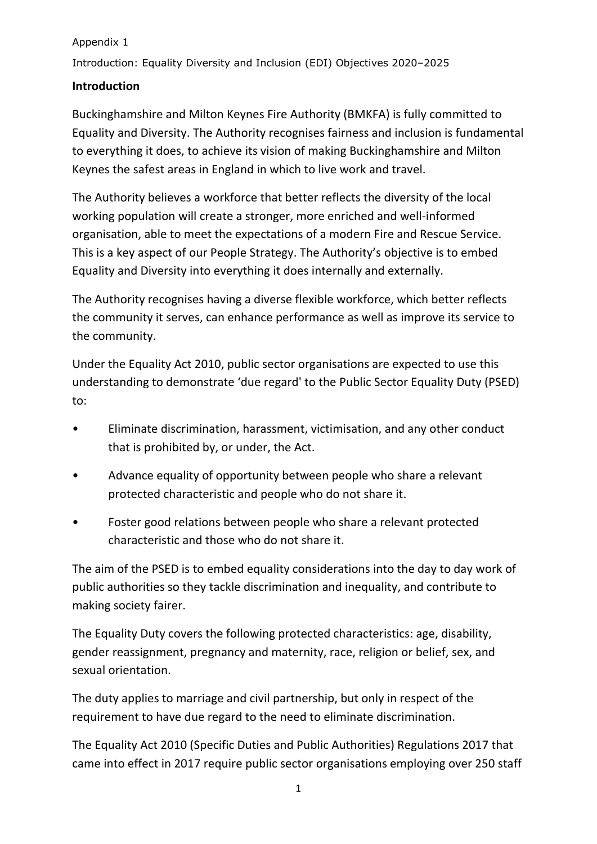Introduction: Equality Diversity and Inclusion (EDI) Objectives 2020–2025

### **Introduction**

Buckinghamshire and Milton Keynes Fire Authority (BMKFA) is fully committed to Equality and Diversity. The Authority recognises fairness and inclusion is fundamental to everything it does, to achieve its vision of making Buckinghamshire and Milton Keynes the safest areas in England in which to live work and travel.

The Authority believes a workforce that better reflects the diversity of the local working population will create a stronger, more enriched and well-informed organisation, able to meet the expectations of a modern Fire and Rescue Service. This is a key aspect of our People Strategy. The Authority's objective is to embed Equality and Diversity into everything it does internally and externally.

The Authority recognises having a diverse flexible workforce, which better reflects the community it serves, can enhance performance as well as improve its service to the community.

Under the Equality Act 2010, public sector organisations are expected to use this understanding to demonstrate 'due regard' to the Public Sector Equality Duty (PSED) to:

- Eliminate discrimination, harassment, victimisation, and any other conduct that is prohibited by, or under, the Act.
- Advance equality of opportunity between people who share a relevant protected characteristic and people who do not share it.
- Foster good relations between people who share a relevant protected characteristic and those who do not share it.

The aim of the PSED is to embed equality considerations into the day to day work of public authorities so they tackle discrimination and inequality, and contribute to making society fairer.

The Equality Duty covers the following protected characteristics: age, disability, gender reassignment, pregnancy and maternity, race, religion or belief, sex, and sexual orientation.

The duty applies to marriage and civil partnership, but only in respect of the requirement to have due regard to the need to eliminate discrimination.

The Equality Act 2010 (Specific Duties and Public Authorities) Regulations 2017 that came into effect in 2017 require public sector organisations employing over 250 staff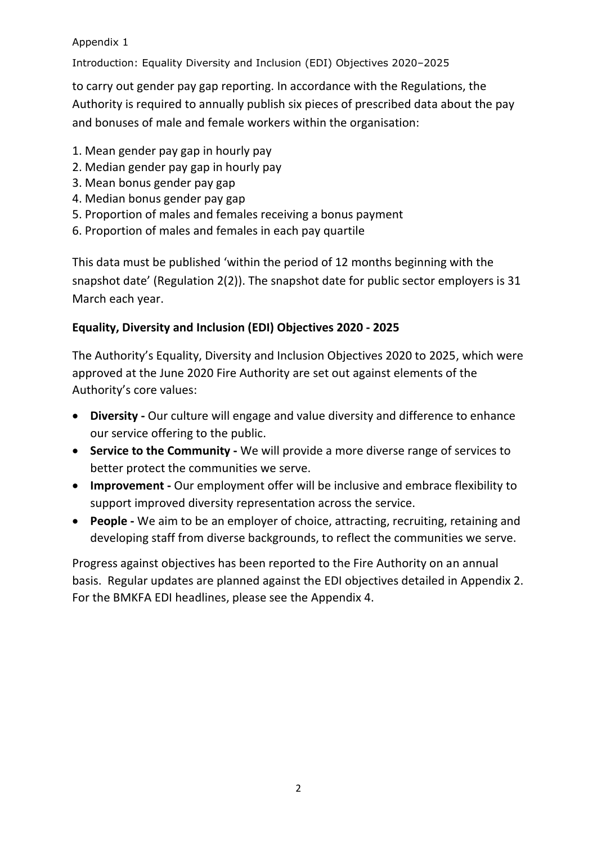Introduction: Equality Diversity and Inclusion (EDI) Objectives 2020–2025

to carry out gender pay gap reporting. In accordance with the Regulations, the Authority is required to annually publish six pieces of prescribed data about the pay and bonuses of male and female workers within the organisation:

- 1. Mean gender pay gap in hourly pay
- 2. Median gender pay gap in hourly pay
- 3. Mean bonus gender pay gap
- 4. Median bonus gender pay gap
- 5. Proportion of males and females receiving a bonus payment
- 6. Proportion of males and females in each pay quartile

This data must be published 'within the period of 12 months beginning with the snapshot date' (Regulation 2(2)). The snapshot date for public sector employers is 31 March each year.

#### **Equality, Diversity and Inclusion (EDI) Objectives 2020 - 2025**

The Authority's Equality, Diversity and Inclusion Objectives 2020 to 2025, which were approved at the June 2020 Fire Authority are set out against elements of the Authority's core values:

- **Diversity -** Our culture will engage and value diversity and difference to enhance our service offering to the public.
- **Service to the Community -** We will provide a more diverse range of services to better protect the communities we serve.
- **Improvement -** Our employment offer will be inclusive and embrace flexibility to support improved diversity representation across the service.
- **People -** We aim to be an employer of choice, attracting, recruiting, retaining and developing staff from diverse backgrounds, to reflect the communities we serve.

Progress against objectives has been reported to the Fire Authority on an annual basis. Regular updates are planned against the EDI objectives detailed in Appendix 2. For the BMKFA EDI headlines, please see the Appendix 4.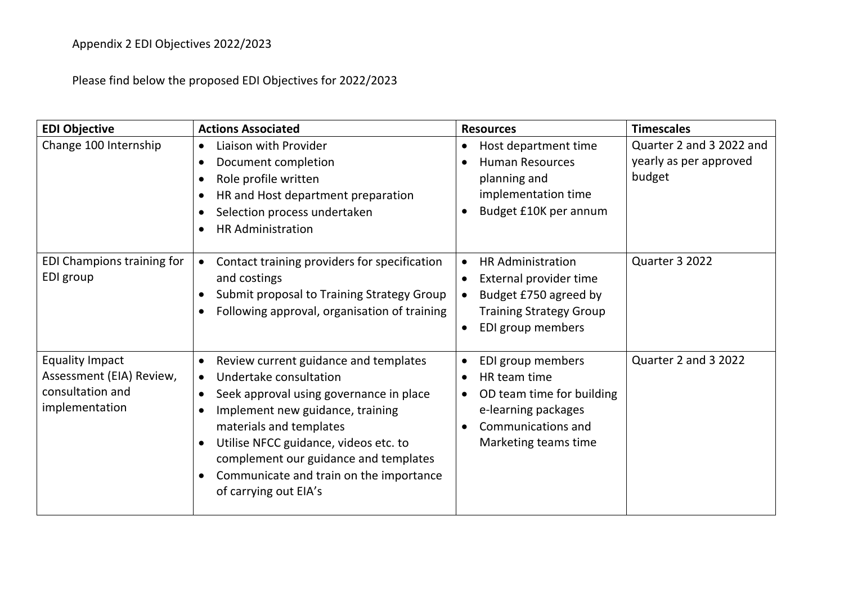Please find below the proposed EDI Objectives for 2022/2023

| <b>EDI Objective</b>                                                                     | <b>Actions Associated</b>                                                                                                                                                                                                                                                                                                                                              | <b>Resources</b>                                                                                                                    | <b>Timescales</b>                                            |
|------------------------------------------------------------------------------------------|------------------------------------------------------------------------------------------------------------------------------------------------------------------------------------------------------------------------------------------------------------------------------------------------------------------------------------------------------------------------|-------------------------------------------------------------------------------------------------------------------------------------|--------------------------------------------------------------|
| Change 100 Internship                                                                    | Liaison with Provider<br>$\bullet$<br>Document completion<br>Role profile written<br>HR and Host department preparation<br>Selection process undertaken<br><b>HR Administration</b>                                                                                                                                                                                    | Host department time<br>$\bullet$<br><b>Human Resources</b><br>planning and<br>implementation time<br>Budget £10K per annum         | Quarter 2 and 3 2022 and<br>yearly as per approved<br>budget |
| EDI Champions training for<br>EDI group                                                  | Contact training providers for specification<br>and costings<br>Submit proposal to Training Strategy Group<br>Following approval, organisation of training                                                                                                                                                                                                             | <b>HR Administration</b><br>External provider time<br>Budget £750 agreed by<br><b>Training Strategy Group</b><br>EDI group members  | Quarter 3 2022                                               |
| <b>Equality Impact</b><br>Assessment (EIA) Review,<br>consultation and<br>implementation | Review current guidance and templates<br>$\bullet$<br>Undertake consultation<br>$\bullet$<br>Seek approval using governance in place<br>$\bullet$<br>Implement new guidance, training<br>materials and templates<br>Utilise NFCC guidance, videos etc. to<br>complement our guidance and templates<br>Communicate and train on the importance<br>of carrying out EIA's | EDI group members<br>HR team time<br>OD team time for building<br>e-learning packages<br>Communications and<br>Marketing teams time | Quarter 2 and 3 2022                                         |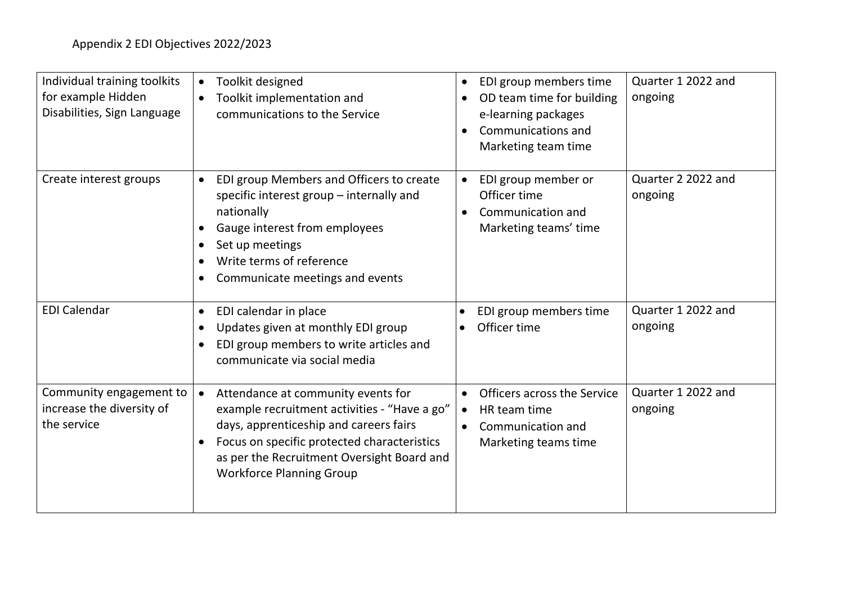| Individual training toolkits<br>for example Hidden<br>Disabilities, Sign Language | Toolkit designed<br>$\bullet$<br>Toolkit implementation and<br>$\bullet$<br>communications to the Service                                                                                                                                                    | Quarter 1 2022 and<br>EDI group members time<br>$\bullet$<br>ongoing<br>OD team time for building<br>$\bullet$<br>e-learning packages<br>Communications and<br>Marketing team time |
|-----------------------------------------------------------------------------------|--------------------------------------------------------------------------------------------------------------------------------------------------------------------------------------------------------------------------------------------------------------|------------------------------------------------------------------------------------------------------------------------------------------------------------------------------------|
| Create interest groups                                                            | EDI group Members and Officers to create<br>$\bullet$<br>specific interest group - internally and<br>nationally<br>Gauge interest from employees<br>Set up meetings<br>$\bullet$<br>Write terms of reference<br>$\bullet$<br>Communicate meetings and events | Quarter 2 2022 and<br>EDI group member or<br>$\bullet$<br>Officer time<br>ongoing<br>Communication and<br>Marketing teams' time                                                    |
| <b>EDI Calendar</b>                                                               | EDI calendar in place<br>$\bullet$<br>Updates given at monthly EDI group<br>$\bullet$<br>EDI group members to write articles and<br>$\bullet$<br>communicate via social media                                                                                | Quarter 1 2022 and<br>EDI group members time<br>$\bullet$<br>Officer time<br>ongoing                                                                                               |
| Community engagement to<br>increase the diversity of<br>the service               | Attendance at community events for<br>example recruitment activities - "Have a go"<br>days, apprenticeship and careers fairs<br>Focus on specific protected characteristics<br>as per the Recruitment Oversight Board and<br><b>Workforce Planning Group</b> | Quarter 1 2022 and<br>Officers across the Service<br>$\bullet$<br>ongoing<br>HR team time<br>$\bullet$<br>Communication and<br>$\bullet$<br>Marketing teams time                   |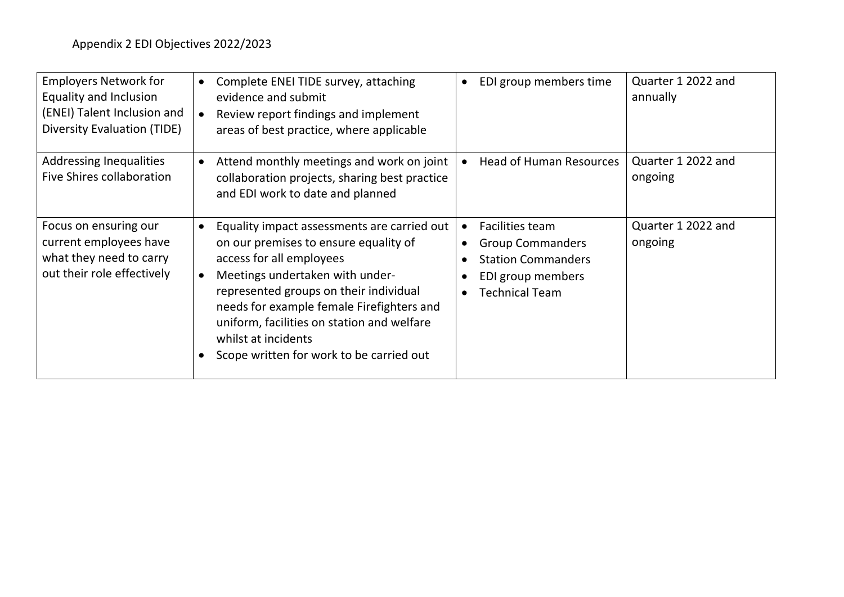| <b>Employers Network for</b><br><b>Equality and Inclusion</b><br>(ENEI) Talent Inclusion and<br><b>Diversity Evaluation (TIDE)</b> | Complete ENEI TIDE survey, attaching<br>$\bullet$<br>evidence and submit<br>Review report findings and implement<br>areas of best practice, where applicable                                                                                                                                                                                                                          | EDI group members time                                                                                                             | Quarter 1 2022 and<br>annually |
|------------------------------------------------------------------------------------------------------------------------------------|---------------------------------------------------------------------------------------------------------------------------------------------------------------------------------------------------------------------------------------------------------------------------------------------------------------------------------------------------------------------------------------|------------------------------------------------------------------------------------------------------------------------------------|--------------------------------|
| <b>Addressing Inequalities</b><br>Five Shires collaboration                                                                        | Attend monthly meetings and work on joint<br>$\bullet$<br>collaboration projects, sharing best practice<br>and EDI work to date and planned                                                                                                                                                                                                                                           | <b>Head of Human Resources</b>                                                                                                     | Quarter 1 2022 and<br>ongoing  |
| Focus on ensuring our<br>current employees have<br>what they need to carry<br>out their role effectively                           | Equality impact assessments are carried out<br>$\bullet$<br>on our premises to ensure equality of<br>access for all employees<br>Meetings undertaken with under-<br>$\bullet$<br>represented groups on their individual<br>needs for example female Firefighters and<br>uniform, facilities on station and welfare<br>whilst at incidents<br>Scope written for work to be carried out | Facilities team<br>$\bullet$<br><b>Group Commanders</b><br><b>Station Commanders</b><br>EDI group members<br><b>Technical Team</b> | Quarter 1 2022 and<br>ongoing  |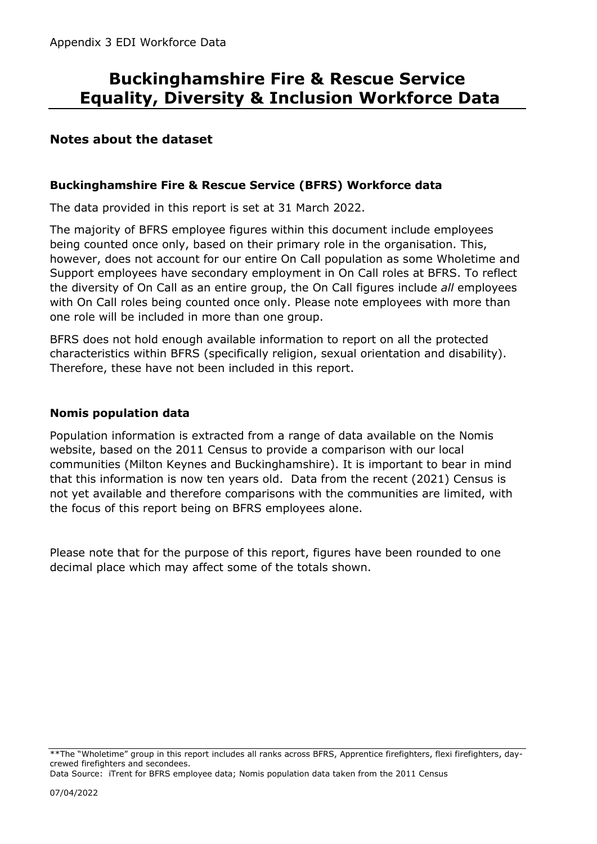### **Notes about the dataset**

#### **Buckinghamshire Fire & Rescue Service (BFRS) Workforce data**

The data provided in this report is set at 31 March 2022.

The majority of BFRS employee figures within this document include employees being counted once only, based on their primary role in the organisation. This, however, does not account for our entire On Call population as some Wholetime and Support employees have secondary employment in On Call roles at BFRS. To reflect the diversity of On Call as an entire group, the On Call figures include *all* employees with On Call roles being counted once only. Please note employees with more than one role will be included in more than one group.

BFRS does not hold enough available information to report on all the protected characteristics within BFRS (specifically religion, sexual orientation and disability). Therefore, these have not been included in this report.

#### **Nomis population data**

Population information is extracted from a range of data available on the Nomis website, based on the 2011 Census to provide a comparison with our local communities (Milton Keynes and Buckinghamshire). It is important to bear in mind that this information is now ten years old. Data from the recent (2021) Census is not yet available and therefore comparisons with the communities are limited, with the focus of this report being on BFRS employees alone.

Please note that for the purpose of this report, figures have been rounded to one decimal place which may affect some of the totals shown.

<sup>\*\*</sup>The "Wholetime" group in this report includes all ranks across BFRS, Apprentice firefighters, flexi firefighters, daycrewed firefighters and secondees.

Data Source: iTrent for BFRS employee data; Nomis population data taken from the 2011 Census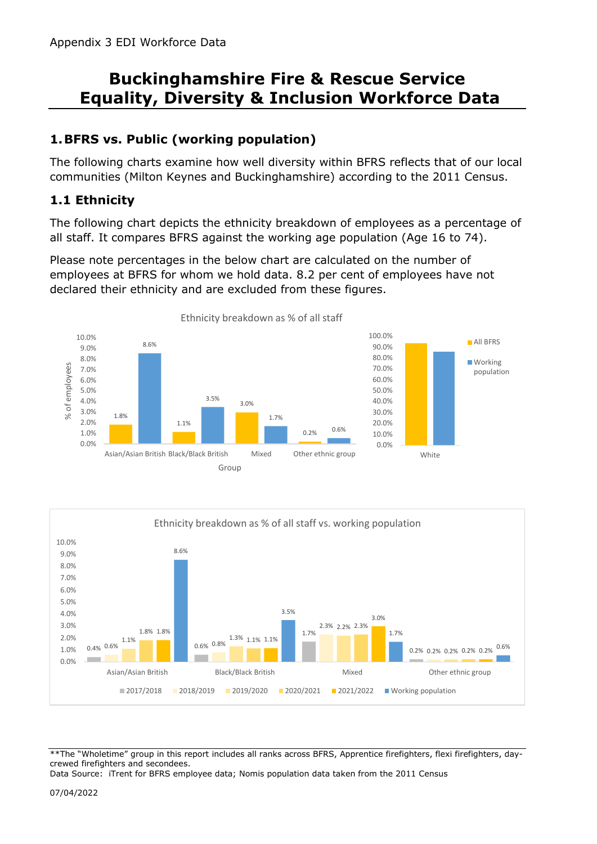## **1.BFRS vs. Public (working population)**

The following charts examine how well diversity within BFRS reflects that of our local communities (Milton Keynes and Buckinghamshire) according to the 2011 Census.

## **1.1 Ethnicity**

The following chart depicts the ethnicity breakdown of employees as a percentage of all staff. It compares BFRS against the working age population (Age 16 to 74).

Please note percentages in the below chart are calculated on the number of employees at BFRS for whom we hold data. 8.2 per cent of employees have not declared their ethnicity and are excluded from these figures.







\*\*The "Wholetime" group in this report includes all ranks across BFRS, Apprentice firefighters, flexi firefighters, daycrewed firefighters and secondees.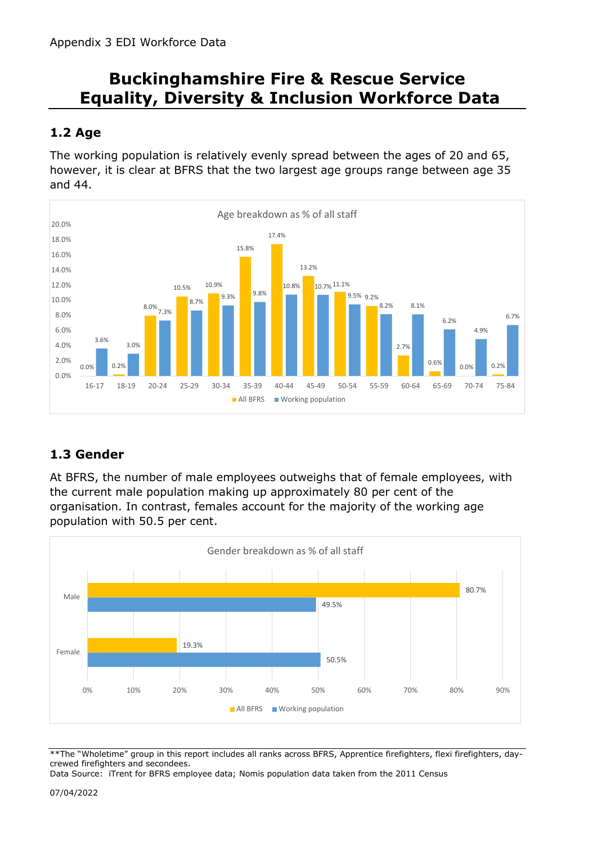## **1.2 Age**

The working population is relatively evenly spread between the ages of 20 and 65, however, it is clear at BFRS that the two largest age groups range between age 35 and 44.



## **1.3 Gender**

At BFRS, the number of male employees outweighs that of female employees, with the current male population making up approximately 80 per cent of the organisation. In contrast, females account for the majority of the working age population with 50.5 per cent.



\*\*The "Wholetime" group in this report includes all ranks across BFRS, Apprentice firefighters, flexi firefighters, daycrewed firefighters and secondees.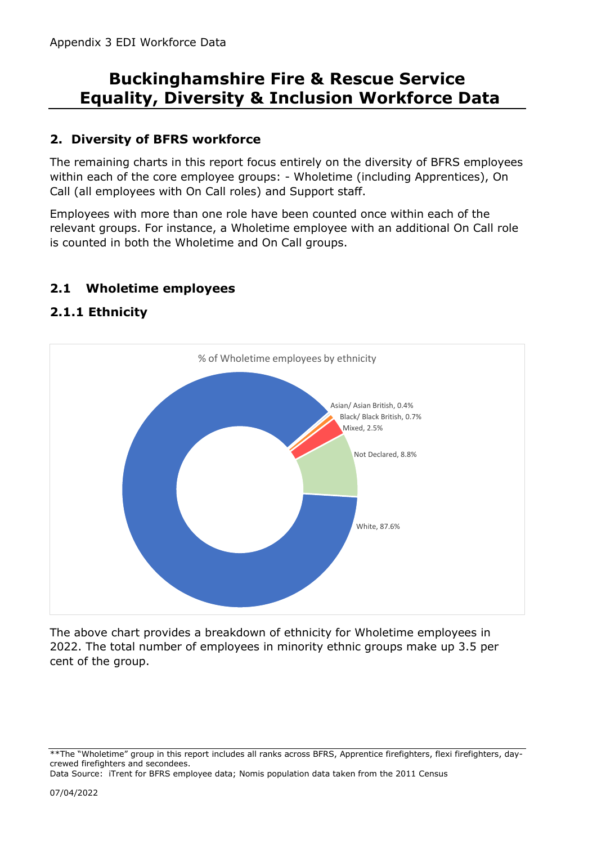## **2. Diversity of BFRS workforce**

The remaining charts in this report focus entirely on the diversity of BFRS employees within each of the core employee groups: - Wholetime (including Apprentices), On Call (all employees with On Call roles) and Support staff.

Employees with more than one role have been counted once within each of the relevant groups. For instance, a Wholetime employee with an additional On Call role is counted in both the Wholetime and On Call groups.

#### **2.1 Wholetime employees**

#### **2.1.1 Ethnicity**



The above chart provides a breakdown of ethnicity for Wholetime employees in 2022. The total number of employees in minority ethnic groups make up 3.5 per cent of the group.

<sup>\*\*</sup>The "Wholetime" group in this report includes all ranks across BFRS, Apprentice firefighters, flexi firefighters, daycrewed firefighters and secondees.

Data Source: iTrent for BFRS employee data; Nomis population data taken from the 2011 Census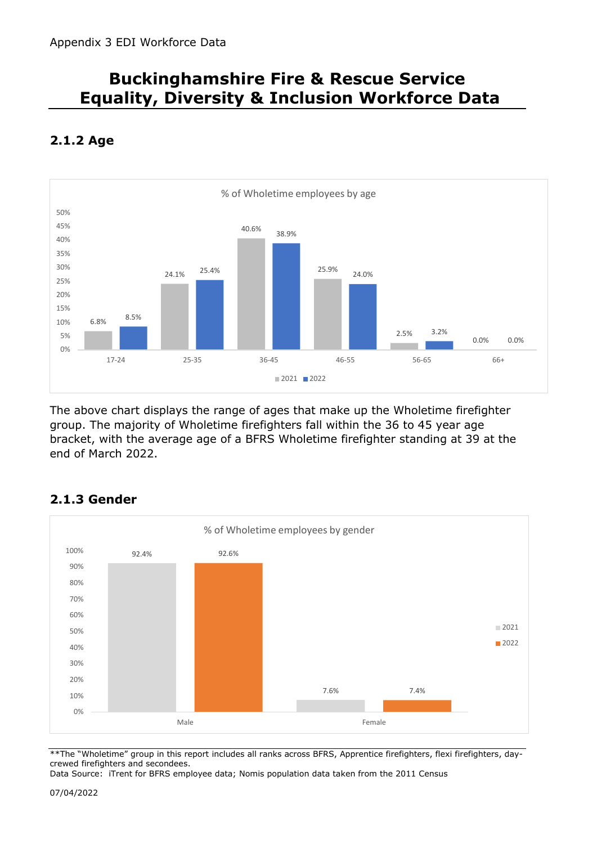

## **2.1.2 Age**

The above chart displays the range of ages that make up the Wholetime firefighter group. The majority of Wholetime firefighters fall within the 36 to 45 year age bracket, with the average age of a BFRS Wholetime firefighter standing at 39 at the end of March 2022.



### **2.1.3 Gender**

\*\*The "Wholetime" group in this report includes all ranks across BFRS, Apprentice firefighters, flexi firefighters, daycrewed firefighters and secondees.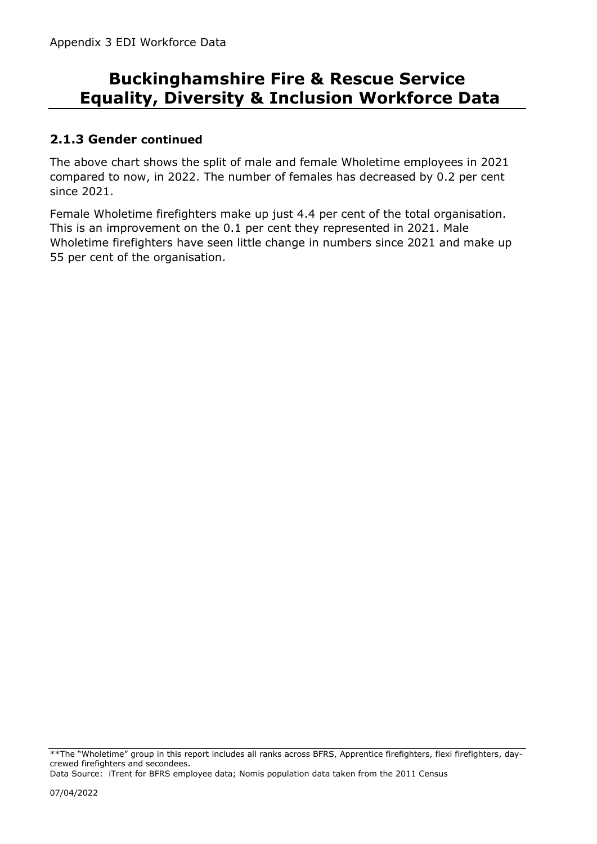### **2.1.3 Gender continued**

The above chart shows the split of male and female Wholetime employees in 2021 compared to now, in 2022. The number of females has decreased by 0.2 per cent since 2021.

Female Wholetime firefighters make up just 4.4 per cent of the total organisation. This is an improvement on the 0.1 per cent they represented in 2021. Male Wholetime firefighters have seen little change in numbers since 2021 and make up 55 per cent of the organisation.

\*\*The "Wholetime" group in this report includes all ranks across BFRS, Apprentice firefighters, flexi firefighters, daycrewed firefighters and secondees.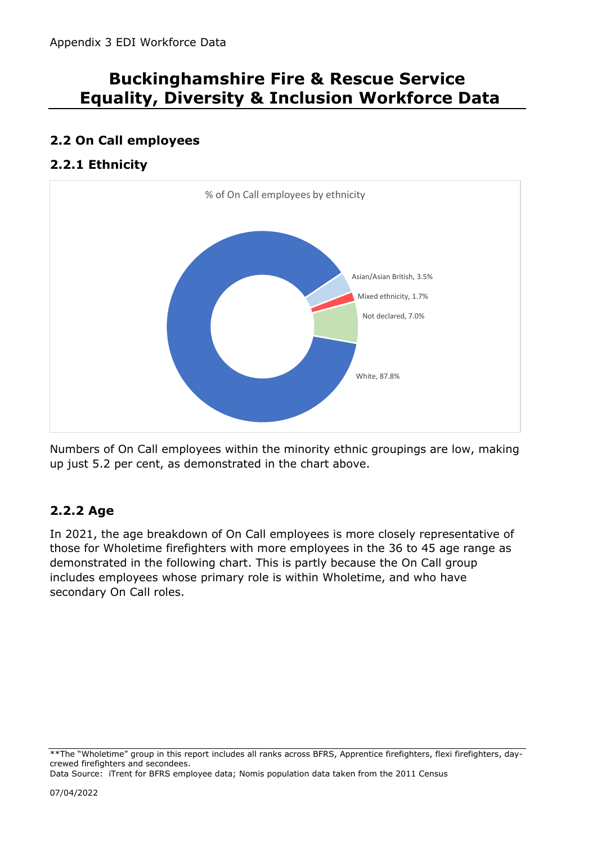## **2.2 On Call employees**

## **2.2.1 Ethnicity**



Numbers of On Call employees within the minority ethnic groupings are low, making up just 5.2 per cent, as demonstrated in the chart above.

## **2.2.2 Age**

In 2021, the age breakdown of On Call employees is more closely representative of those for Wholetime firefighters with more employees in the 36 to 45 age range as demonstrated in the following chart. This is partly because the On Call group includes employees whose primary role is within Wholetime, and who have secondary On Call roles.

<sup>\*\*</sup>The "Wholetime" group in this report includes all ranks across BFRS, Apprentice firefighters, flexi firefighters, daycrewed firefighters and secondees.

Data Source: iTrent for BFRS employee data; Nomis population data taken from the 2011 Census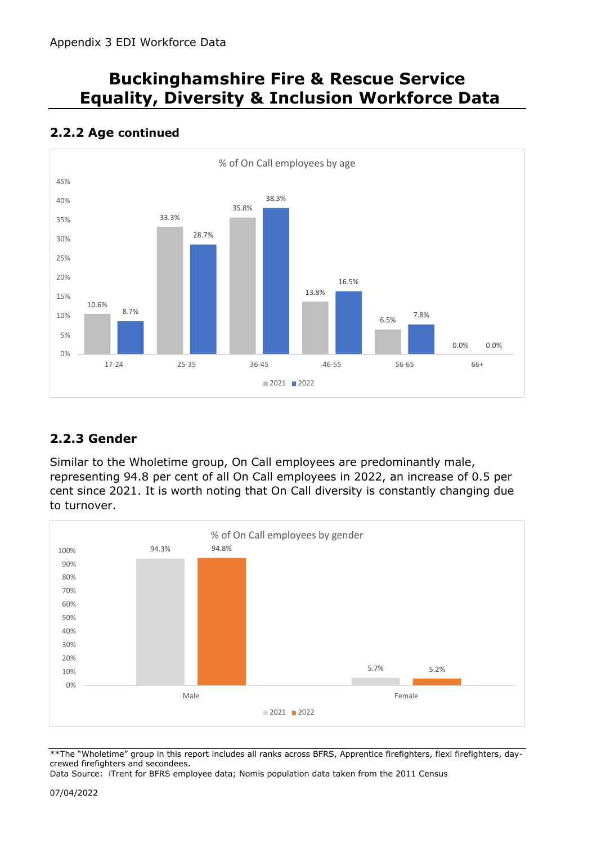#### 10.6% 33.3% 35.8% 13.8% 6.5% 0.0% 8.7% 28.7% 38.3% 16.5% 7.8% 0.0% 0% 5% 10% 15% 20% 25% 30% 35% 40% 45% 17-24 25-35 36-45 46-55 56-65 66+ % of On Call employees by age  $2021$  2022

## **2.2.2 Age continued**

## **2.2.3 Gender**

Similar to the Wholetime group, On Call employees are predominantly male, representing 94.8 per cent of all On Call employees in 2022, an increase of 0.5 per cent since 2021. It is worth noting that On Call diversity is constantly changing due to turnover.



\*\*The "Wholetime" group in this report includes all ranks across BFRS, Apprentice firefighters, flexi firefighters, daycrewed firefighters and secondees.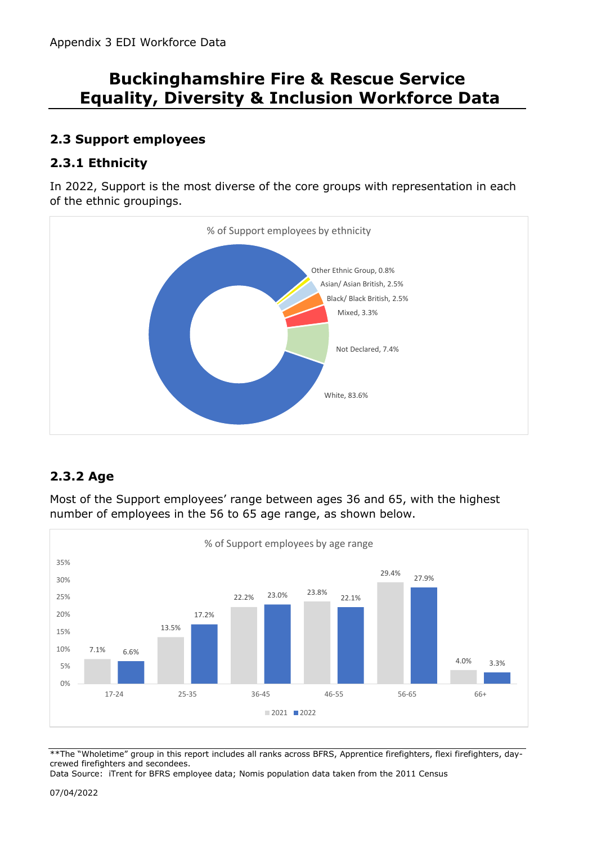## **2.3 Support employees**

## **2.3.1 Ethnicity**

In 2022, Support is the most diverse of the core groups with representation in each of the ethnic groupings.



## **2.3.2 Age**

Most of the Support employees' range between ages 36 and 65, with the highest number of employees in the 56 to 65 age range, as shown below.



\*\*The "Wholetime" group in this report includes all ranks across BFRS, Apprentice firefighters, flexi firefighters, daycrewed firefighters and secondees.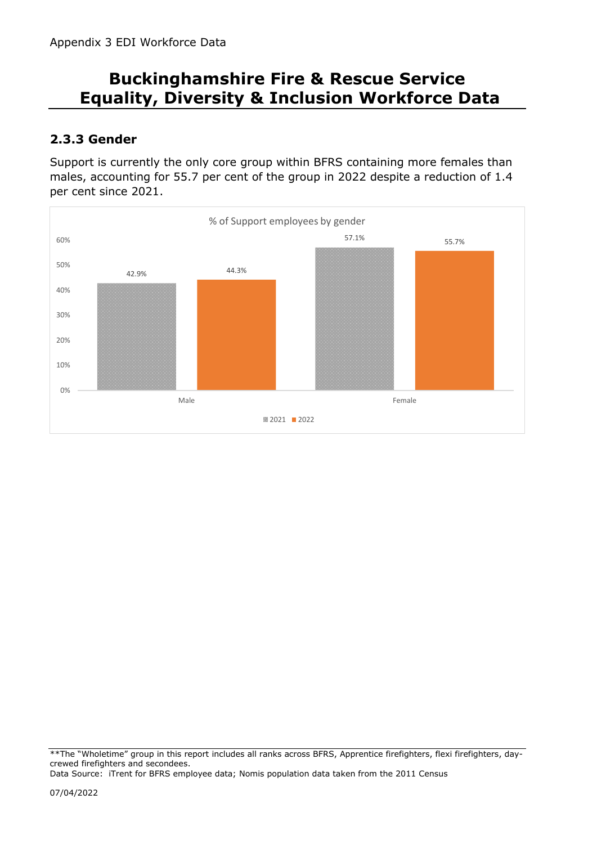## **2.3.3 Gender**

Support is currently the only core group within BFRS containing more females than males, accounting for 55.7 per cent of the group in 2022 despite a reduction of 1.4 per cent since 2021.



<sup>\*\*</sup>The "Wholetime" group in this report includes all ranks across BFRS, Apprentice firefighters, flexi firefighters, daycrewed firefighters and secondees.

Data Source: iTrent for BFRS employee data; Nomis population data taken from the 2011 Census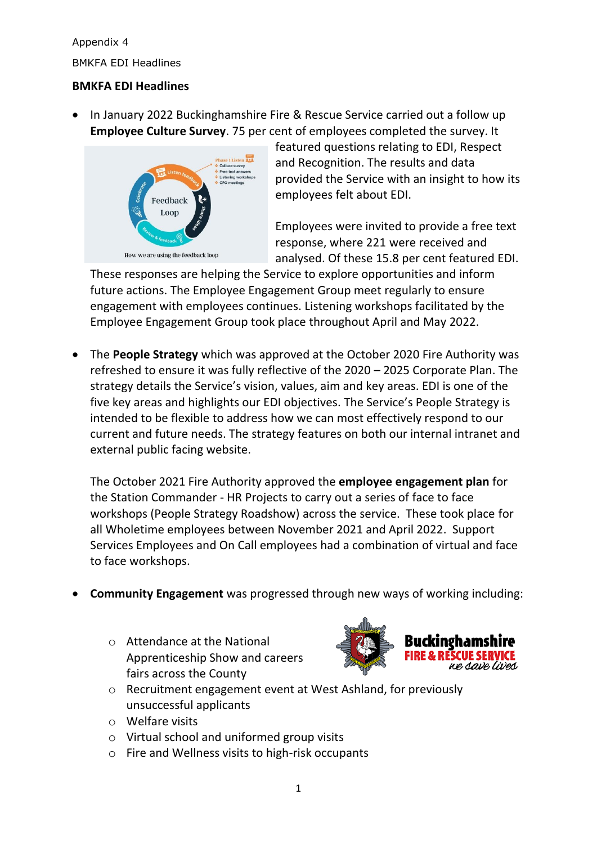BMKFA EDI Headlines

#### **BMKFA EDI Headlines**

• In January 2022 Buckinghamshire Fire & Rescue Service carried out a follow up **Employee Culture Survey**. 75 per cent of employees completed the survey. It



featured questions relating to EDI, Respect and Recognition. The results and data provided the Service with an insight to how its employees felt about EDI.

Employees were invited to provide a free text response, where 221 were received and analysed. Of these 15.8 per cent featured EDI.

These responses are helping the Service to explore opportunities and inform future actions. The Employee Engagement Group meet regularly to ensure engagement with employees continues. Listening workshops facilitated by the Employee Engagement Group took place throughout April and May 2022.

• The **People Strategy** which was approved at the October 2020 Fire Authority was refreshed to ensure it was fully reflective of the 2020 – 2025 Corporate Plan. The strategy details the Service's vision, values, aim and key areas. EDI is one of the five key areas and highlights our EDI objectives. The Service's People Strategy is intended to be flexible to address how we can most effectively respond to our current and future needs. The strategy features on both our internal intranet and external public facing website.

The October 2021 Fire Authority approved the **employee engagement plan** for the Station Commander - HR Projects to carry out a series of face to face workshops (People Strategy Roadshow) across the service. These took place for all Wholetime employees between November 2021 and April 2022. Support Services Employees and On Call employees had a combination of virtual and face to face workshops.

- **Community Engagement** was progressed through new ways of working including:
	- o Attendance at the National Apprenticeship Show and careers fairs across the County



- o Recruitment engagement event at West Ashland, for previously unsuccessful applicants
- o Welfare visits
- o Virtual school and uniformed group visits
- o Fire and Wellness visits to high-risk occupants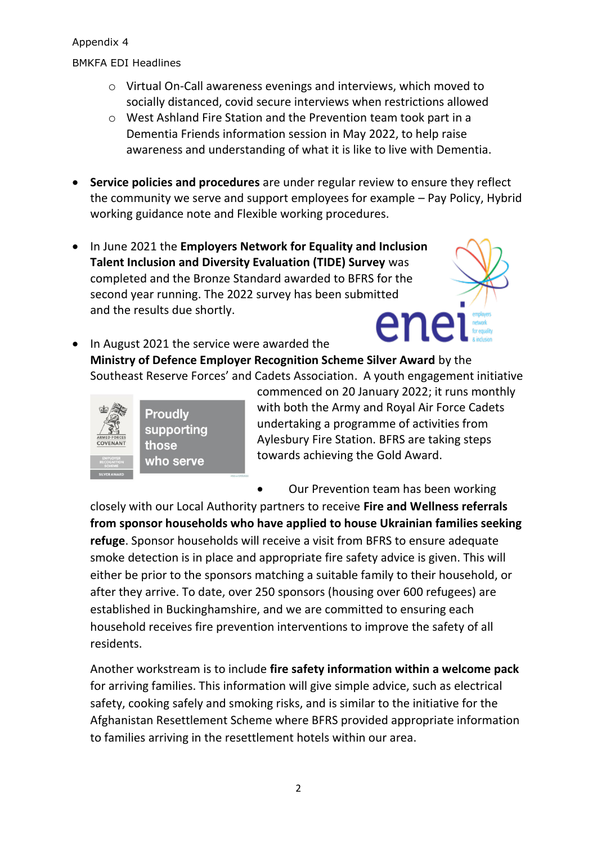BMKFA EDI Headlines

- o Virtual On-Call awareness evenings and interviews, which moved to socially distanced, covid secure interviews when restrictions allowed
- o West Ashland Fire Station and the Prevention team took part in a Dementia Friends information session in May 2022, to help raise awareness and understanding of what it is like to live with Dementia.
- **Service policies and procedures** are under regular review to ensure they reflect the community we serve and support employees for example – Pay Policy, Hybrid working guidance note and Flexible working procedures.
- In June 2021 the **Employers Network for Equality and Inclusion Talent Inclusion and Diversity Evaluation (TIDE) Survey** was completed and the Bronze Standard awarded to BFRS for the second year running. The 2022 survey has been submitted and the results due shortly.
- ene • In August 2021 the service were awarded the **Ministry of Defence Employer Recognition Scheme Silver Award** by the Southeast Reserve Forces' and Cadets Association. A youth engagement initiative



supporting who serve

commenced on 20 January 2022; it runs monthly with both the Army and Royal Air Force Cadets undertaking a programme of activities from Aylesbury Fire Station. BFRS are taking steps towards achieving the Gold Award.

• Our Prevention team has been working

closely with our Local Authority partners to receive **Fire and Wellness referrals from sponsor households who have applied to house Ukrainian families seeking refuge**. Sponsor households will receive a visit from BFRS to ensure adequate smoke detection is in place and appropriate fire safety advice is given. This will either be prior to the sponsors matching a suitable family to their household, or after they arrive. To date, over 250 sponsors (housing over 600 refugees) are established in Buckinghamshire, and we are committed to ensuring each household receives fire prevention interventions to improve the safety of all residents.

Another workstream is to include **fire safety information within a welcome pack** for arriving families. This information will give simple advice, such as electrical safety, cooking safely and smoking risks, and is similar to the initiative for the Afghanistan Resettlement Scheme where BFRS provided appropriate information to families arriving in the resettlement hotels within our area.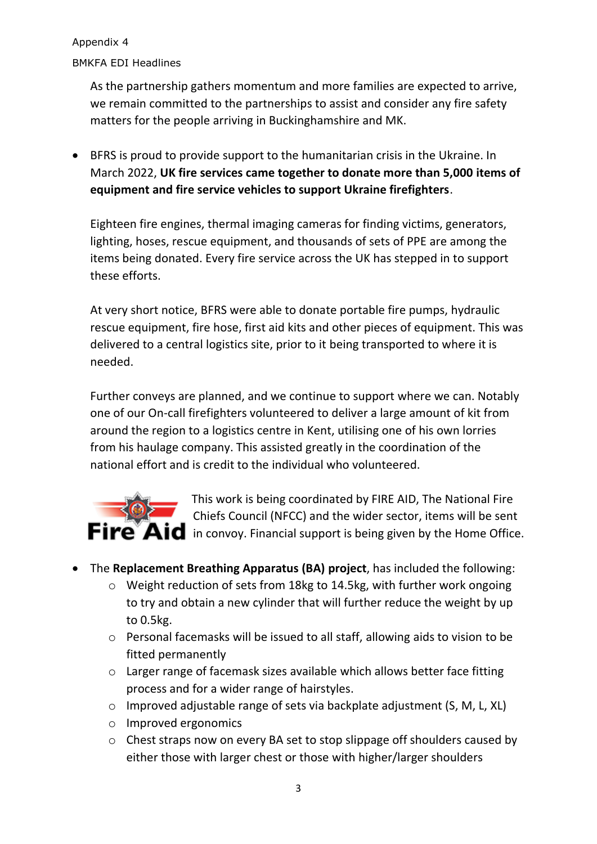BMKFA EDI Headlines

As the partnership gathers momentum and more families are expected to arrive, we remain committed to the partnerships to assist and consider any fire safety matters for the people arriving in Buckinghamshire and MK.

• BFRS is proud to provide support to the humanitarian crisis in the Ukraine. In March 2022, **UK fire services came together to donate more than 5,000 items of equipment and fire service vehicles to support Ukraine firefighters**.

Eighteen fire engines, thermal imaging cameras for finding victims, generators, lighting, hoses, rescue equipment, and thousands of sets of PPE are among the items being donated. Every fire service across the UK has stepped in to support these efforts.

At very short notice, BFRS were able to donate portable fire pumps, hydraulic rescue equipment, fire hose, first aid kits and other pieces of equipment. This was delivered to a central logistics site, prior to it being transported to where it is needed.

Further conveys are planned, and we continue to support where we can. Notably one of our On-call firefighters volunteered to deliver a large amount of kit from around the region to a logistics centre in Kent, utilising one of his own lorries from his haulage company. This assisted greatly in the coordination of the national effort and is credit to the individual who volunteered.



This work is being coordinated by FIRE AID, The National Fire Chiefs Council (NFCC) and the wider sector, items will be sent  $\mathsf{Fire}^{\mathsf{v}}\mathsf{Aid}$  in convoy. Financial support is being given by the Home Office.

- The **Replacement Breathing Apparatus (BA) project**, has included the following:
	- o Weight reduction of sets from 18kg to 14.5kg, with further work ongoing to try and obtain a new cylinder that will further reduce the weight by up to 0.5kg.
	- o Personal facemasks will be issued to all staff, allowing aids to vision to be fitted permanently
	- o Larger range of facemask sizes available which allows better face fitting process and for a wider range of hairstyles.
	- o Improved adjustable range of sets via backplate adjustment (S, M, L, XL)
	- o Improved ergonomics
	- o Chest straps now on every BA set to stop slippage off shoulders caused by either those with larger chest or those with higher/larger shoulders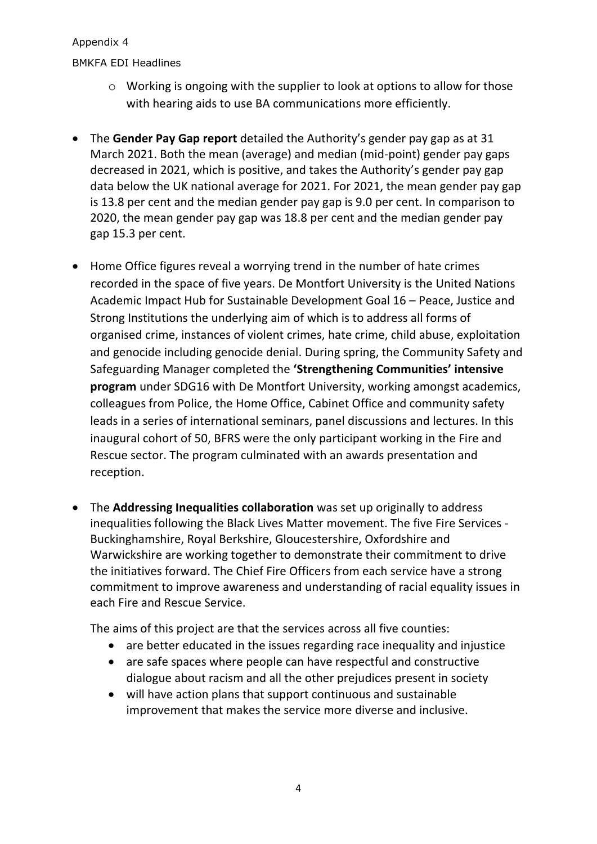BMKFA EDI Headlines

- o Working is ongoing with the supplier to look at options to allow for those with hearing aids to use BA communications more efficiently.
- The **Gender Pay Gap report** detailed the Authority's gender pay gap as at 31 March 2021. Both the mean (average) and median (mid-point) gender pay gaps decreased in 2021, which is positive, and takes the Authority's gender pay gap data below the UK national average for 2021. For 2021, the mean gender pay gap is 13.8 per cent and the median gender pay gap is 9.0 per cent. In comparison to 2020, the mean gender pay gap was 18.8 per cent and the median gender pay gap 15.3 per cent.
- Home Office figures reveal a worrying trend in the number of hate crimes recorded in the space of five years. De Montfort University is the United Nations Academic Impact Hub for Sustainable Development Goal 16 – Peace, Justice and Strong Institutions the underlying aim of which is to address all forms of organised crime, instances of violent crimes, hate crime, child abuse, exploitation and genocide including genocide denial. During spring, the Community Safety and Safeguarding Manager completed the **'Strengthening Communities' intensive program** under SDG16 with De Montfort University, working amongst academics, colleagues from Police, the Home Office, Cabinet Office and community safety leads in a series of international seminars, panel discussions and lectures. In this inaugural cohort of 50, BFRS were the only participant working in the Fire and Rescue sector. The program culminated with an awards presentation and reception.
- The **Addressing Inequalities collaboration** was set up originally to address inequalities following the Black Lives Matter movement. The five Fire Services - Buckinghamshire, Royal Berkshire, Gloucestershire, Oxfordshire and Warwickshire are working together to demonstrate their commitment to drive the initiatives forward. The Chief Fire Officers from each service have a strong commitment to improve awareness and understanding of racial equality issues in each Fire and Rescue Service.

The aims of this project are that the services across all five counties:

- are better educated in the issues regarding race inequality and injustice
- are safe spaces where people can have respectful and constructive dialogue about racism and all the other prejudices present in society
- will have action plans that support continuous and sustainable improvement that makes the service more diverse and inclusive.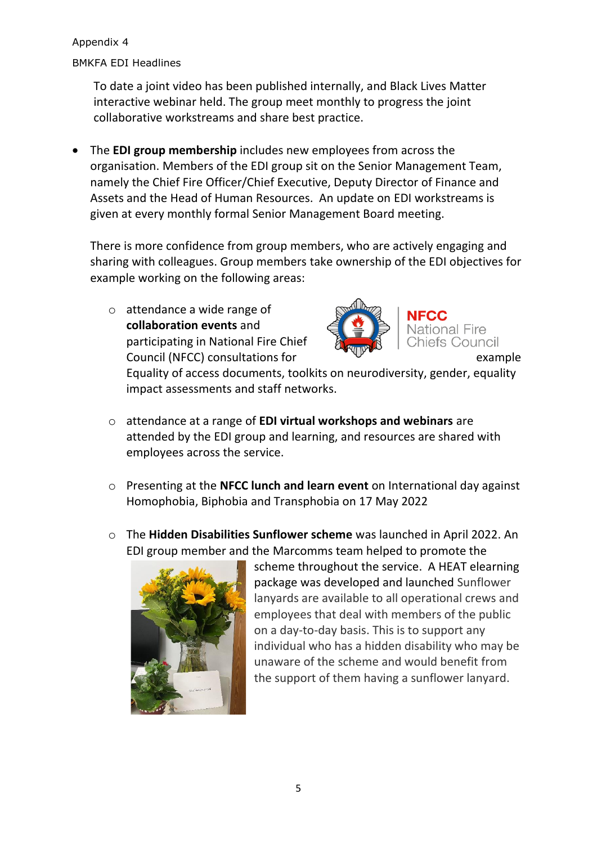BMKFA EDI Headlines

To date a joint video has been published internally, and Black Lives Matter interactive webinar held. The group meet monthly to progress the joint collaborative workstreams and share best practice.

• The **EDI group membership** includes new employees from across the organisation. Members of the EDI group sit on the Senior Management Team, namely the Chief Fire Officer/Chief Executive, Deputy Director of Finance and Assets and the Head of Human Resources. An update on EDI workstreams is given at every monthly formal Senior Management Board meeting.

There is more confidence from group members, who are actively engaging and sharing with colleagues. Group members take ownership of the EDI objectives for example working on the following areas:

o attendance a wide range of **collaboration events** and participating in National Fire Chief Council (NFCC) consultations for example



National Fire Chiefs Council

Equality of access documents, toolkits on neurodiversity, gender, equality impact assessments and staff networks.

- o attendance at a range of **EDI virtual workshops and webinars** are attended by the EDI group and learning, and resources are shared with employees across the service.
- o Presenting at the **NFCC lunch and learn event** on International day against Homophobia, Biphobia and Transphobia on 17 May 2022
- o The **Hidden Disabilities Sunflower scheme** was launched in April 2022. An EDI group member and the Marcomms team helped to promote the



scheme throughout the service. A HEAT elearning package was developed and launched Sunflower lanyards are available to all operational crews and employees that deal with members of the public on a day-to-day basis. This is to support any individual who has a hidden disability who may be unaware of the scheme and would benefit from the support of them having a sunflower lanyard.